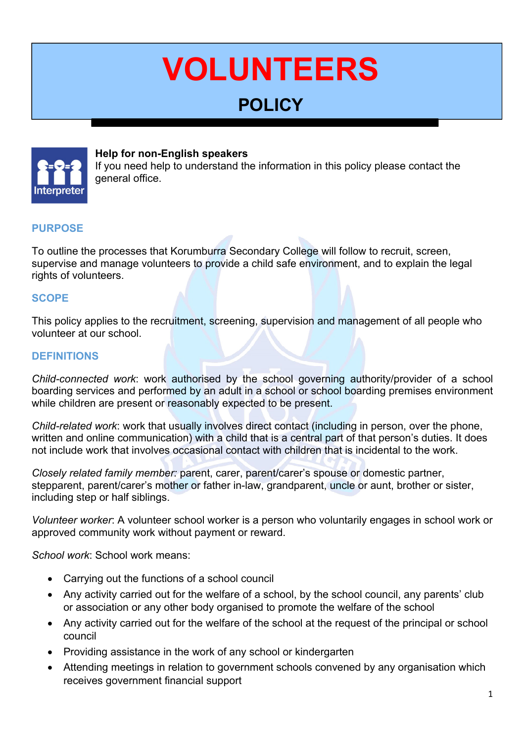# **VOLUNTEERS**

# **POLICY**



#### **Help for non-English speakers**

If you need help to understand the information in this policy please contact the general office.

#### **PURPOSE**

To outline the processes that Korumburra Secondary College will follow to recruit, screen, supervise and manage volunteers to provide a child safe environment, and to explain the legal rights of volunteers.

# **SCOPE**

This policy applies to the recruitment, screening, supervision and management of all people who volunteer at our school.

# **DEFINITIONS**

*Child-connected work*: work authorised by the school governing authority/provider of a school boarding services and performed by an adult in a school or school boarding premises environment while children are present or reasonably expected to be present.

*Child-related work*: work that usually involves direct contact (including in person, over the phone, written and online communication) with a child that is a central part of that person's duties. It does not include work that involves occasional contact with children that is incidental to the work.

*Closely related family member:* parent, carer, parent/carer's spouse or domestic partner, stepparent, parent/carer's mother or father in-law, grandparent, uncle or aunt, brother or sister, including step or half siblings.

*Volunteer worker*: A volunteer school worker is a person who voluntarily engages in school work or approved community work without payment or reward.

*School work*: School work means:

- Carrying out the functions of a school council
- Any activity carried out for the welfare of a school, by the school council, any parents' club or association or any other body organised to promote the welfare of the school
- Any activity carried out for the welfare of the school at the request of the principal or school council
- Providing assistance in the work of any school or kindergarten
- Attending meetings in relation to government schools convened by any organisation which receives government financial support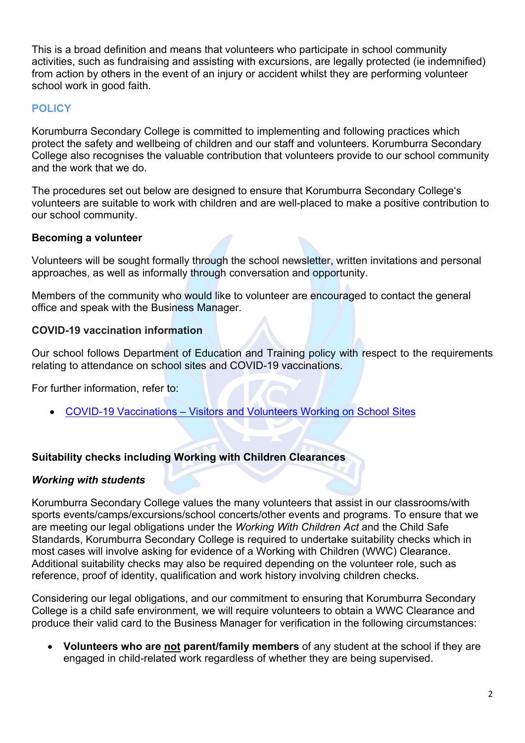This is a broad definition and means that volunteers who participate in school community activities, such as fundraising and assisting with excursions, are legally protected (ie indemnified) from action by others in the event of an injury or accident whilst they are performing volunteer school work in good faith.

# **POLICY**

Korumburra Secondary College is committed to implementing and following practices which protect the safety and wellbeing of children and our staff and volunteers. Korumburra Secondary College also recognises the valuable contribution that volunteers provide to our school community and the work that we do.

The procedures set out below are designed to ensure that Korumburra Secondary College's volunteers are suitable to work with children and are well-placed to make a positive contribution to our school community.

#### **Becoming a volunteer**

Volunteers will be sought formally through the school newsletter, written invitations and personal approaches, as well as informally through conversation and opportunity.

Members of the community who would like to volunteer are encouraged to contact the general office and speak with the Business Manager.

# **COVID-19 vaccination information**

Our school follows Department of Education and Training policy with respect to the requirements relating to attendance on school sites and COVID-19 vaccinations.

For further information, refer to:

COVID-19 Vaccinations – Visitors and Volunteers Working on School Sites

#### **Suitability checks including Working with Children Clearances**

#### *Working with students*

Korumburra Secondary College values the many volunteers that assist in our classrooms/with sports events/camps/excursions/school concerts/other events and programs. To ensure that we are meeting our legal obligations under the *Working With Children Act* and the Child Safe Standards, Korumburra Secondary College is required to undertake suitability checks which in most cases will involve asking for evidence of a Working with Children (WWC) Clearance. Additional suitability checks may also be required depending on the volunteer role, such as reference, proof of identity, qualification and work history involving children checks.

Considering our legal obligations, and our commitment to ensuring that Korumburra Secondary College is a child safe environment, we will require volunteers to obtain a WWC Clearance and produce their valid card to the Business Manager for verification in the following circumstances:

 **Volunteers who are not parent/family members** of any student at the school if they are engaged in child-related work regardless of whether they are being supervised.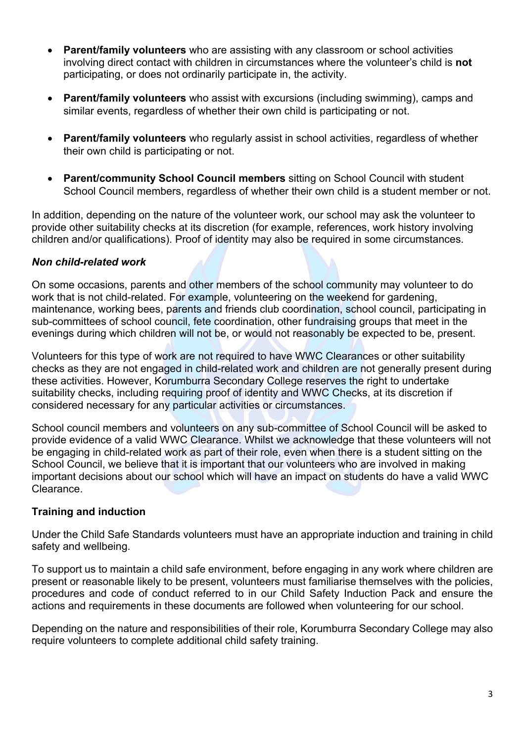- **Parent/family volunteers** who are assisting with any classroom or school activities involving direct contact with children in circumstances where the volunteer's child is **not**  participating, or does not ordinarily participate in, the activity.
- **Parent/family volunteers** who assist with excursions (including swimming), camps and similar events, regardless of whether their own child is participating or not.
- **Parent/family volunteers** who regularly assist in school activities, regardless of whether their own child is participating or not.
- **Parent/community School Council members** sitting on School Council with student School Council members, regardless of whether their own child is a student member or not.

In addition, depending on the nature of the volunteer work, our school may ask the volunteer to provide other suitability checks at its discretion (for example, references, work history involving children and/or qualifications). Proof of identity may also be required in some circumstances.

#### *Non child-related work*

On some occasions, parents and other members of the school community may volunteer to do work that is not child-related. For example, volunteering on the weekend for gardening, maintenance, working bees, parents and friends club coordination, school council, participating in sub-committees of school council, fete coordination, other fundraising groups that meet in the evenings during which children will not be, or would not reasonably be expected to be, present.

Volunteers for this type of work are not required to have WWC Clearances or other suitability checks as they are not engaged in child-related work and children are not generally present during these activities. However, Korumburra Secondary College reserves the right to undertake suitability checks, including requiring proof of identity and WWC Checks, at its discretion if considered necessary for any particular activities or circumstances.

School council members and volunteers on any sub-committee of School Council will be asked to provide evidence of a valid WWC Clearance. Whilst we acknowledge that these volunteers will not be engaging in child-related work as part of their role, even when there is a student sitting on the School Council, we believe that it is important that our volunteers who are involved in making important decisions about our school which will have an impact on students do have a valid WWC Clearance.

#### **Training and induction**

Under the Child Safe Standards volunteers must have an appropriate induction and training in child safety and wellbeing.

To support us to maintain a child safe environment, before engaging in any work where children are present or reasonable likely to be present, volunteers must familiarise themselves with the policies, procedures and code of conduct referred to in our Child Safety Induction Pack and ensure the actions and requirements in these documents are followed when volunteering for our school.

Depending on the nature and responsibilities of their role, Korumburra Secondary College may also require volunteers to complete additional child safety training.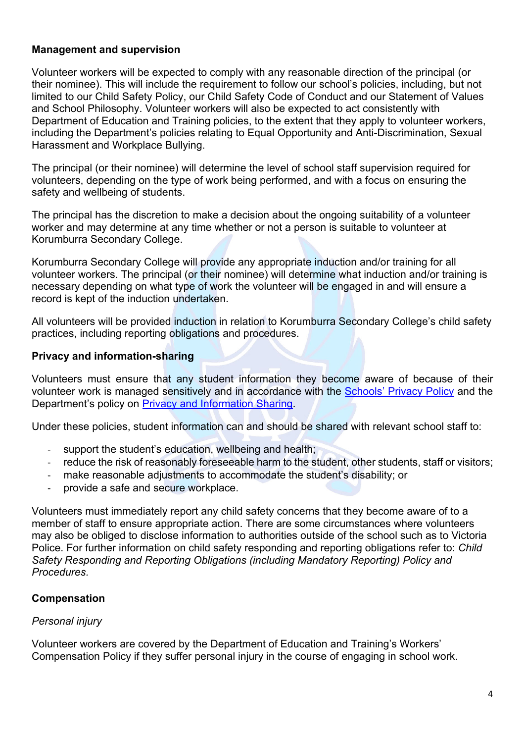#### **Management and supervision**

Volunteer workers will be expected to comply with any reasonable direction of the principal (or their nominee). This will include the requirement to follow our school's policies, including, but not limited to our Child Safety Policy, our Child Safety Code of Conduct and our Statement of Values and School Philosophy. Volunteer workers will also be expected to act consistently with Department of Education and Training policies, to the extent that they apply to volunteer workers, including the Department's policies relating to Equal Opportunity and Anti-Discrimination, Sexual Harassment and Workplace Bullying.

The principal (or their nominee) will determine the level of school staff supervision required for volunteers, depending on the type of work being performed, and with a focus on ensuring the safety and wellbeing of students.

The principal has the discretion to make a decision about the ongoing suitability of a volunteer worker and may determine at any time whether or not a person is suitable to volunteer at Korumburra Secondary College.

Korumburra Secondary College will provide any appropriate induction and/or training for all volunteer workers. The principal (or their nominee) will determine what induction and/or training is necessary depending on what type of work the volunteer will be engaged in and will ensure a record is kept of the induction undertaken.

All volunteers will be provided induction in relation to Korumburra Secondary College's child safety practices, including reporting obligations and procedures.

#### **Privacy and information-sharing**

Volunteers must ensure that any student information they become aware of because of their volunteer work is managed sensitively and in accordance with the Schools' Privacy Policy and the Department's policy on Privacy and Information Sharing.

Under these policies, student information can and should be shared with relevant school staff to:

- support the student's education, wellbeing and health;
- ‐ reduce the risk of reasonably foreseeable harm to the student, other students, staff or visitors;
- ‐ make reasonable adjustments to accommodate the student's disability; or
- ‐ provide a safe and secure workplace.

Volunteers must immediately report any child safety concerns that they become aware of to a member of staff to ensure appropriate action. There are some circumstances where volunteers may also be obliged to disclose information to authorities outside of the school such as to Victoria Police. For further information on child safety responding and reporting obligations refer to: *Child Safety Responding and Reporting Obligations (including Mandatory Reporting) Policy and Procedures.* 

#### **Compensation**

#### *Personal injury*

Volunteer workers are covered by the Department of Education and Training's Workers' Compensation Policy if they suffer personal injury in the course of engaging in school work.